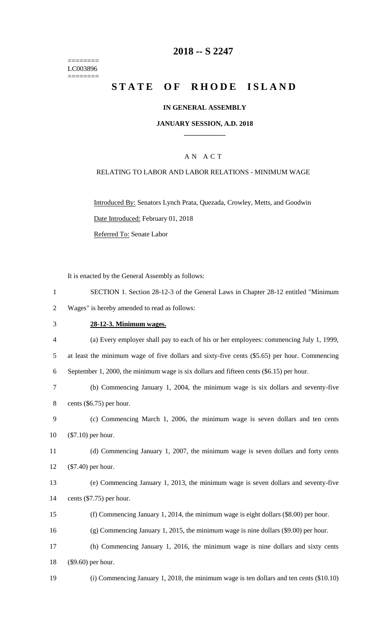======== LC003896  $=$ 

# **-- S 2247**

# STATE OF RHODE ISLAND

## **IN GENERAL ASSEMBLY**

### **JANUARY SESSION, A.D. 2018 \_\_\_\_\_\_\_\_\_\_\_\_**

## A N A C T

## RELATING TO LABOR AND LABOR RELATIONS - MINIMUM WAGE

Introduced By: Senators Lynch Prata, Quezada, Crowley, Metts, and Goodwin Date Introduced: February 01, 2018 Referred To: Senate Labor

It is enacted by the General Assembly as follows:

|                | $\sigma$ , the Schema <i>Prosecutor</i> , as rono                                            |
|----------------|----------------------------------------------------------------------------------------------|
| 1              | SECTION 1. Section 28-12-3 of the General Laws in Chapter 28-12 entitled "Minimum"           |
| $\overline{2}$ | Wages" is hereby amended to read as follows:                                                 |
| 3              | 28-12-3. Minimum wages.                                                                      |
| 4              | (a) Every employer shall pay to each of his or her employees: commencing July 1, 1999,       |
| 5              | at least the minimum wage of five dollars and sixty-five cents (\$5.65) per hour. Commencing |
| 6              | September 1, 2000, the minimum wage is six dollars and fifteen cents $(\$6.15)$ per hour.    |
| 7              | (b) Commencing January 1, 2004, the minimum wage is six dollars and seventy-five             |
| 8              | cents $(\$6.75)$ per hour.                                                                   |
| 9              | (c) Commencing March 1, 2006, the minimum wage is seven dollars and ten cents                |
| 10             | $(\$7.10)$ per hour.                                                                         |
| 11             | (d) Commencing January 1, 2007, the minimum wage is seven dollars and forty cents            |
| 12             | $(\$7.40)$ per hour.                                                                         |
| 13             | (e) Commencing January 1, 2013, the minimum wage is seven dollars and seventy-five           |
| 14             | cents $(\$7.75)$ per hour.                                                                   |
| 15             | (f) Commencing January 1, 2014, the minimum wage is eight dollars $(\$8.00)$ per hour.       |
| 16             | $(g)$ Commencing January 1, 2015, the minimum wage is nine dollars (\$9.00) per hour.        |
| 17             | (h) Commencing January 1, 2016, the minimum wage is nine dollars and sixty cents             |
| 18             | (\$9.60) per hour.                                                                           |
| 19             | (i) Commencing January 1, 2018, the minimum wage is ten dollars and ten cents (\$10.10)      |
|                |                                                                                              |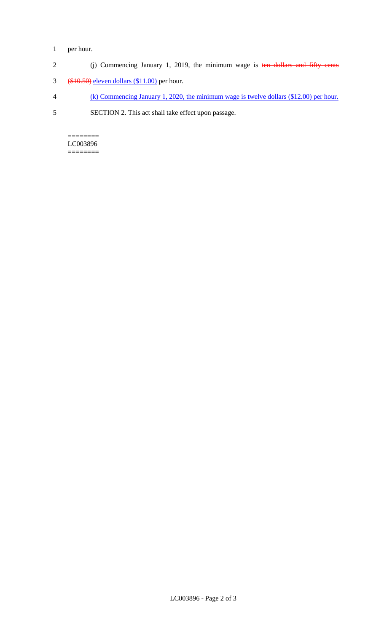## 1 per hour.

- 2 (j) Commencing January 1, 2019, the minimum wage is ten dollars and fifty cents
- 3 (\$10.50) eleven dollars (\$11.00) per hour.
- 4 (k) Commencing January 1, 2020, the minimum wage is twelve dollars (\$12.00) per hour.
- 5 SECTION 2. This act shall take effect upon passage.

 $=$ LC003896 ========